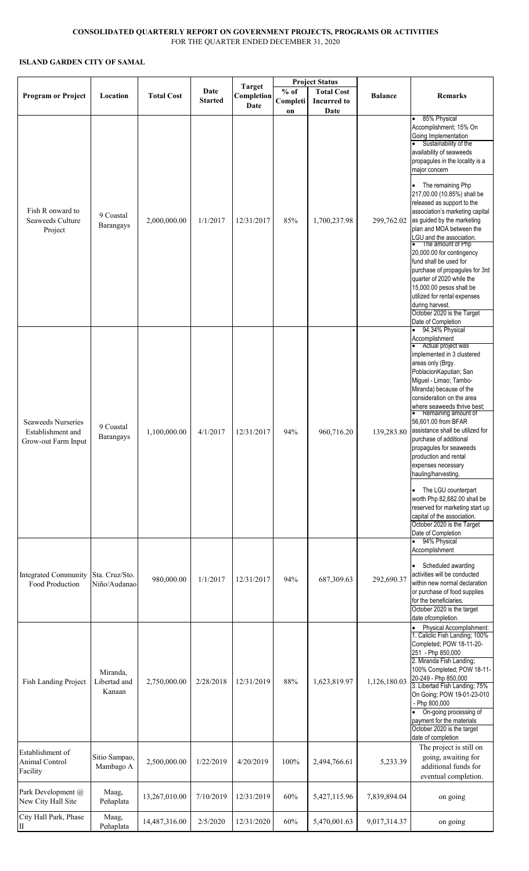## **CONSOLIDATED QUARTERLY REPORT ON GOVERNMENT PROJECTS, PROGRAMS OR ACTIVITIES** FOR THE QUARTER ENDED DECEMBER 31, 2020

## **ISLAND GARDEN CITY OF SAMAL**

|                                                                       | Location                           | <b>Total Cost</b> | Date<br><b>Started</b> | <b>Target</b><br>Completion<br>Date | <b>Project Status</b> |                                         |                |                                                                                                                                                                                                                                                                                                                                                                                                                                                                                                                                                                                                                                                                           |
|-----------------------------------------------------------------------|------------------------------------|-------------------|------------------------|-------------------------------------|-----------------------|-----------------------------------------|----------------|---------------------------------------------------------------------------------------------------------------------------------------------------------------------------------------------------------------------------------------------------------------------------------------------------------------------------------------------------------------------------------------------------------------------------------------------------------------------------------------------------------------------------------------------------------------------------------------------------------------------------------------------------------------------------|
| <b>Program or Project</b>                                             |                                    |                   |                        |                                     | $%$ of<br>Completi    | <b>Total Cost</b><br><b>Incurred to</b> | <b>Balance</b> | <b>Remarks</b>                                                                                                                                                                                                                                                                                                                                                                                                                                                                                                                                                                                                                                                            |
| Fish R onward to<br>Seaweeds Culture<br>Project                       | 9 Coastal<br>Barangays             | 2,000,000.00      | 1/1/2017               | 12/31/2017                          | on<br>85%             | Date<br>1,700,237.98                    | 299,762.02     | 85% Physical<br>$\bullet$<br>Accomplishment; 15% On<br>Going Implementation<br>Sustainability of the<br>availability of seaweeds<br>propagules in the locality is a<br>major concern<br>The remaining Php<br>217,00.00 (10.85%) shall be<br>released as support to the<br>association's marketing capital<br>as guided by the marketing<br>plan and MOA between the<br>LGU and the association.<br>• The amount of Php<br>20,000.00 for contingency<br>fund shall be used for<br>purchase of propagules for 3rd<br>quarter of 2020 while the<br>15,000.00 pesos shall be<br>utilized for rental expenses<br>during harvest.<br>October 2020 is the Target                 |
| <b>Seaweeds Nurseries</b><br>Establishment and<br>Grow-out Farm Input | 9 Coastal<br>Barangays             | 1,100,000.00      | 4/1/2017               | 12/31/2017                          | 94%                   | 960,716.20                              | 139,283.80     | Date of Completion<br>94.34% Physical<br>$\bullet$<br>Accomplishment<br>Actual project was<br>implemented in 3 clustered<br>areas only (Brgy.<br>PoblacionKaputian; San<br>Miguel - Limao; Tambo-<br>Miranda) because of the<br>consideration on the area<br>where seaweeds thrive best;<br>Remaining amount of<br>56,601.00 from BFAR<br>assistance shall be utilized for<br>purchase of additional<br>propagules for seaweeds<br>production and rental<br>expenses necessary<br>hauling/harvesting.<br>The LGU counterpart<br>$\bullet$<br>worth Php 82,682.00 shall be<br>reserved for marketing start up<br>capital of the association.<br>October 2020 is the Target |
| <b>Integrated Community</b><br>Food Production                        | Sta. Cruz/Sto.<br>Niño/Audanao     | 980,000.00        | 1/1/2017               | 12/31/2017                          | 94%                   | 687,309.63                              | 292,690.37     | Date of Completion<br>94% Physical<br>$\bullet$<br>Accomplishment<br>• Scheduled awarding<br>activities will be conducted<br>within new normal declaration<br>or purchase of food supplies<br>for the beneficiaries.<br>October 2020 is the target<br>date ofcompletion.                                                                                                                                                                                                                                                                                                                                                                                                  |
| Fish Landing Project                                                  | Miranda,<br>Libertad and<br>Kanaan | 2,750,000.00      | 2/28/2018              | 12/31/2019                          | 88%                   | 1,623,819.97                            | 1,126,180.03   | Physical Accomplishment:<br>1. Caliclic Fish Landing; 100%<br>Completed; POW 18-11-20-<br>251 - Php 850,000<br>2. Miranda Fish Landing;<br>100% Completed; POW 18-11-<br>20-249 - Php 850,000<br>3. Libertad Fish Landing; 75%<br>On Going; POW 19-01-23-010<br>- Php 800,000<br>On-going processing of<br>$\bullet$<br>payment for the materials<br>October 2020 is the target<br>date of completion                                                                                                                                                                                                                                                                     |
| Establishment of<br>Animal Control<br>Facility                        | Sitio Sampao,<br>Mambago A         | 2,500,000.00      | 1/22/2019              | 4/20/2019                           | 100%                  | 2,494,766.61                            | 5,233.39       | The project is still on<br>going, awaiting for<br>additional funds for<br>eventual completion.                                                                                                                                                                                                                                                                                                                                                                                                                                                                                                                                                                            |
| Park Development @<br>New City Hall Site                              | Maag,<br>Peñaplata                 | 13,267,010.00     | 7/10/2019              | 12/31/2019                          | 60%                   | 5,427,115.96                            | 7,839,894.04   | on going                                                                                                                                                                                                                                                                                                                                                                                                                                                                                                                                                                                                                                                                  |
| City Hall Park, Phase<br>$\rm II$                                     | Maag,<br>Peñaplata                 | 14,487,316.00     | 2/5/2020               | 12/31/2020                          | 60%                   | 5,470,001.63                            | 9,017,314.37   | on going                                                                                                                                                                                                                                                                                                                                                                                                                                                                                                                                                                                                                                                                  |